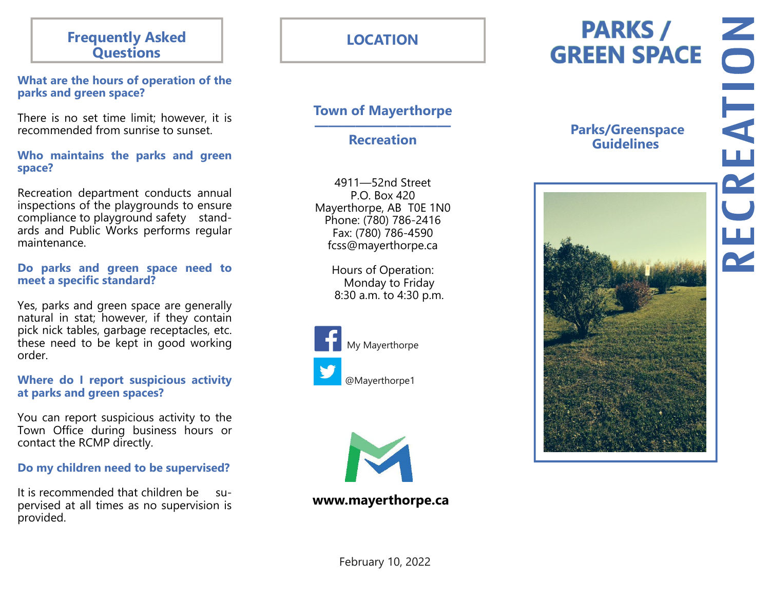## **Frequently Asked Questions**

## **What are the hours of operation of the parks and green space?**

There is no set time limit; however, it is recommended from sunrise to sunset.

## **Who maintains the parks and green space?**

Recreation department conducts annual inspections of the playgrounds to ensure compliance to playground safety standards and Public Works performs regular maintenance.

## **Do parks and green space need to meet a specific standard?**

Yes, parks and green space are generally natural in stat; however, if they contain pick nick tables, garbage receptacles, etc. these need to be kept in good working order.

## **Where do I report suspicious activity at parks and green spaces?**

You can report suspicious activity to the Town Office during business hours or contact the RCMP directly.

## **Do my children need to be supervised?**

It is recommended that children be supervised at all times as no supervision is provided.

# **LOCATION**

## **Town of Mayerthorpe**

**—————————— Recreation** 

4911—52nd Street P.O. Box 420 Mayerthorpe, AB T0E 1N0 Phone: (780) 786-2416 Fax: (780) 786-4590 fcss@mayerthorpe.ca

> Hours of Operation: Monday to Friday 8:30 a.m. to 4:30 p.m.





## **www.mayerthorpe.ca**

## **Parks/Greenspace Guidelines**